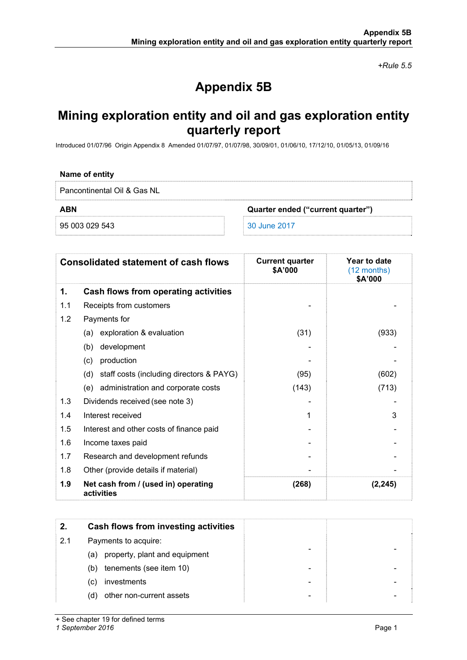*+Rule 5.5* 

# **Appendix 5B**

## **Mining exploration entity and oil and gas exploration entity quarterly report**

Introduced 01/07/96 Origin Appendix 8 Amended 01/07/97, 01/07/98, 30/09/01, 01/06/10, 17/12/10, 01/05/13, 01/09/16

#### **Name of entity**

Pancontinental Oil & Gas NL

**ABN Quarter ended ("current quarter")** 

95 003 029 543 30 June 2017

| <b>Consolidated statement of cash flows</b> |                                                   | <b>Current quarter</b><br>\$A'000 | Year to date<br>$(12$ months)<br>\$A'000 |
|---------------------------------------------|---------------------------------------------------|-----------------------------------|------------------------------------------|
| 1.                                          | Cash flows from operating activities              |                                   |                                          |
| 1.1                                         | Receipts from customers                           |                                   |                                          |
| 1.2                                         | Payments for                                      |                                   |                                          |
|                                             | (a) exploration & evaluation                      | (31)                              | (933)                                    |
|                                             | development<br>(b)                                |                                   |                                          |
|                                             | production<br>(c)                                 |                                   |                                          |
|                                             | staff costs (including directors & PAYG)<br>(d)   | (95)                              | (602)                                    |
|                                             | administration and corporate costs<br>(e)         | (143)                             | (713)                                    |
| 1.3                                         | Dividends received (see note 3)                   |                                   |                                          |
| 1.4                                         | Interest received                                 | 1                                 | 3                                        |
| 1.5                                         | Interest and other costs of finance paid          |                                   |                                          |
| 1.6                                         | Income taxes paid                                 |                                   |                                          |
| 1.7                                         | Research and development refunds                  |                                   |                                          |
| 1.8                                         | Other (provide details if material)               |                                   |                                          |
| 1.9                                         | Net cash from / (used in) operating<br>activities | (268)                             | (2, 245)                                 |

| 2.  | Cash flows from investing activities |
|-----|--------------------------------------|
| 2.1 | Payments to acquire:                 |
|     | property, plant and equipment<br>(a) |
|     | tenements (see item 10)<br>(b)       |
|     | investments<br>(C)                   |
|     | other non-current assets<br>(d)      |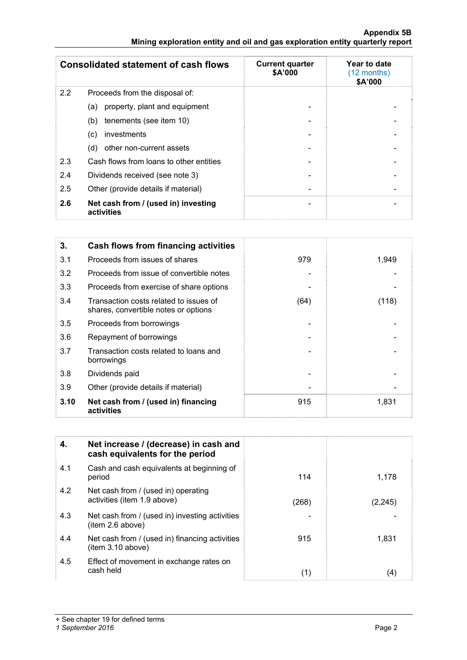#### **Appendix 5B Mining exploration entity and oil and gas exploration entity quarterly report**

| <b>Consolidated statement of cash flows</b> |                                                   | <b>Current quarter</b><br>\$A'000 | Year to date<br>$(12$ months)<br>\$A'000 |
|---------------------------------------------|---------------------------------------------------|-----------------------------------|------------------------------------------|
| 2.2                                         | Proceeds from the disposal of:                    |                                   |                                          |
|                                             | property, plant and equipment<br>(a)              |                                   |                                          |
|                                             | tenements (see item 10)<br>(b)                    |                                   |                                          |
|                                             | investments<br>(c)                                |                                   |                                          |
|                                             | other non-current assets<br>(d)                   |                                   |                                          |
| 2.3                                         | Cash flows from loans to other entities           |                                   |                                          |
| 2.4                                         | Dividends received (see note 3)                   |                                   |                                          |
| 2.5                                         | Other (provide details if material)               |                                   |                                          |
| 2.6                                         | Net cash from / (used in) investing<br>activities | $\overline{\phantom{0}}$          |                                          |

| 3.   | Cash flows from financing activities                                           |      |       |
|------|--------------------------------------------------------------------------------|------|-------|
| 3.1  | Proceeds from issues of shares                                                 | 979  | 1,949 |
| 3.2  | Proceeds from issue of convertible notes                                       |      |       |
| 3.3  | Proceeds from exercise of share options                                        |      |       |
| 3.4  | Transaction costs related to issues of<br>shares, convertible notes or options | (64) | (118) |
| 3.5  | Proceeds from borrowings                                                       |      |       |
| 3.6  | Repayment of borrowings                                                        |      |       |
| 3.7  | Transaction costs related to loans and<br>borrowings                           |      |       |
| 3.8  | Dividends paid                                                                 |      |       |
| 3.9  | Other (provide details if material)                                            |      |       |
| 3.10 | Net cash from / (used in) financing<br>activities                              | 915  | 1,831 |

| 4.  | Net increase / (decrease) in cash and<br>cash equivalents for the period |       |          |
|-----|--------------------------------------------------------------------------|-------|----------|
| 4.1 | Cash and cash equivalents at beginning of<br>period                      | 114   | 1,178    |
| 4.2 | Net cash from / (used in) operating<br>activities (item 1.9 above)       | (268) | (2, 245) |
| 4.3 | Net cash from / (used in) investing activities<br>item 2.6 above)        |       |          |
| 4.4 | Net cash from / (used in) financing activities<br>item 3.10 above)       | 915   | 1.831    |
| 4.5 | Effect of movement in exchange rates on<br>cash held                     | (1)   | (4)      |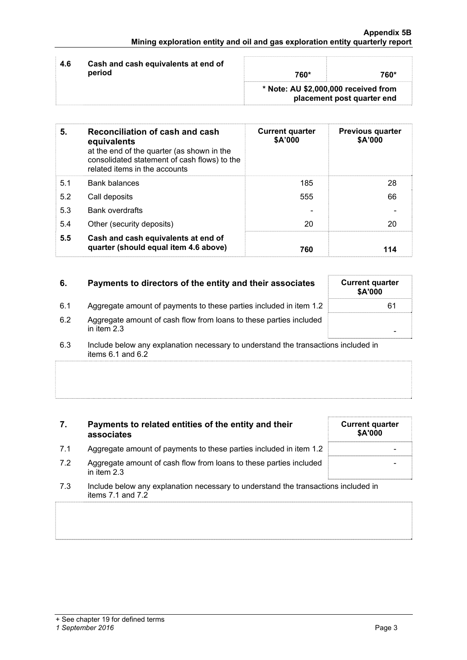|     |                                               | * Note: AU \$2,000,000 received from |      |
|-----|-----------------------------------------------|--------------------------------------|------|
| 4.6 | Cash and cash equivalents at end of<br>period | 760*                                 | 760* |

| 5.  | Reconciliation of cash and cash<br>equivalents<br>at the end of the quarter (as shown in the<br>consolidated statement of cash flows) to the<br>related items in the accounts | <b>Current quarter</b><br>\$A'000 | <b>Previous quarter</b><br>\$A'000 |
|-----|-------------------------------------------------------------------------------------------------------------------------------------------------------------------------------|-----------------------------------|------------------------------------|
| 5.1 | <b>Bank balances</b>                                                                                                                                                          | 185                               | 28                                 |
| 5.2 | Call deposits                                                                                                                                                                 | 555                               | 66                                 |
| 5.3 | <b>Bank overdrafts</b>                                                                                                                                                        |                                   |                                    |
| 5.4 | Other (security deposits)                                                                                                                                                     | 20                                | 20                                 |
| 5.5 | Cash and cash equivalents at end of<br>quarter (should equal item 4.6 above)                                                                                                  | 760                               | 114                                |

| 6.  | Payments to directors of the entity and their associates                            | <b>Current quarter</b><br>\$A'000 |
|-----|-------------------------------------------------------------------------------------|-----------------------------------|
| 6.1 | Aggregate amount of payments to these parties included in item 1.2                  | 61                                |
| 6.2 | Aggregate amount of cash flow from loans to these parties included<br>in item $2.3$ |                                   |
|     |                                                                                     |                                   |

6.3 Include below any explanation necessary to understand the transactions included in items 6.1 and 6.2

### **7. Payments to related entities of the entity and their associates**

- 7.1 Aggregate amount of payments to these parties included in item 1.2
- 7.2 Aggregate amount of cash flow from loans to these parties included in item 2.3
- 7.3 Include below any explanation necessary to understand the transactions included in items 7.1 and 7.2

| <b>Current quarter</b><br>\$A'000 |
|-----------------------------------|
|                                   |
|                                   |
|                                   |
|                                   |
|                                   |
|                                   |
|                                   |
|                                   |
|                                   |
|                                   |
|                                   |
|                                   |
|                                   |
|                                   |
|                                   |
|                                   |
|                                   |
|                                   |
|                                   |
|                                   |
|                                   |
|                                   |
|                                   |
|                                   |
|                                   |
|                                   |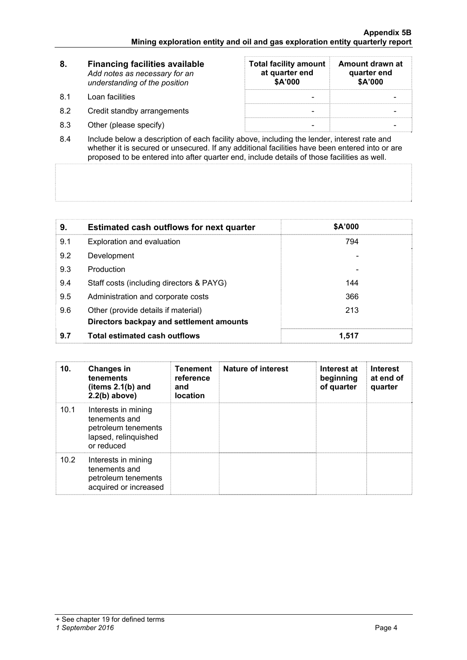| -8.       | <b>Financing facilities available</b><br>Add notes as necessary for an<br>understanding of the position | <b>Total facility amount</b><br>at quarter end<br>\$A'000 | Amount drawn at<br>quarter end<br>\$A'000 |
|-----------|---------------------------------------------------------------------------------------------------------|-----------------------------------------------------------|-------------------------------------------|
| <b>81</b> | Loan facilities                                                                                         |                                                           |                                           |
| 8.2       | Credit standby arrangements                                                                             |                                                           |                                           |
| 8.3       | Other (please specify)                                                                                  |                                                           |                                           |

8.4 Include below a description of each facility above, including the lender, interest rate and whether it is secured or unsecured. If any additional facilities have been entered into or are proposed to be entered into after quarter end, include details of those facilities as well.

| 9.  | <b>Estimated cash outflows for next quarter</b>                                 | \$A'000 |
|-----|---------------------------------------------------------------------------------|---------|
| 9.1 | Exploration and evaluation                                                      | 794     |
| 9.2 | Development                                                                     |         |
| 9.3 | Production                                                                      |         |
| 9.4 | Staff costs (including directors & PAYG)                                        | 144     |
| 9.5 | Administration and corporate costs                                              | 366     |
| 9.6 | Other (provide details if material)<br>Directors backpay and settlement amounts | 213     |
| 9.7 | <b>Total estimated cash outflows</b>                                            | 1.517   |

| 10.  | <b>Changes in</b><br>tenements<br>(items $2.1(b)$ and<br>$2.2(b)$ above)                          | <b>Tenement</b><br>reference<br>and<br><b>location</b> | Nature of interest | Interest at<br>beginning<br>of quarter | <b>Interest</b><br>at end of<br>quarter |
|------|---------------------------------------------------------------------------------------------------|--------------------------------------------------------|--------------------|----------------------------------------|-----------------------------------------|
| 10.1 | Interests in mining<br>tenements and<br>petroleum tenements<br>lapsed, relinquished<br>or reduced |                                                        |                    |                                        |                                         |
| 10.2 | Interests in mining<br>tenements and<br>petroleum tenements<br>acquired or increased              |                                                        |                    |                                        |                                         |